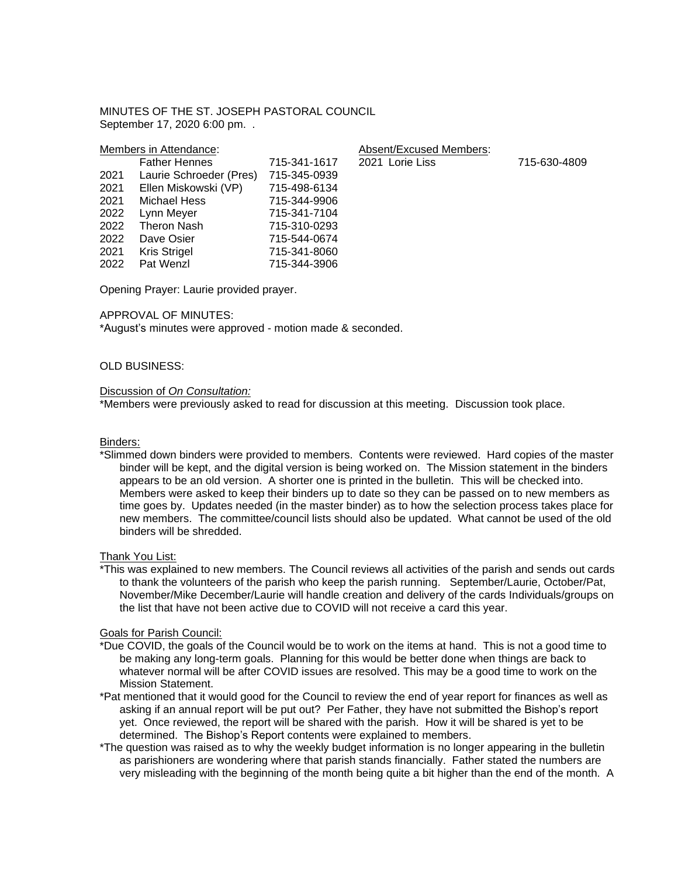MINUTES OF THE ST. JOSEPH PASTORAL COUNCIL September 17, 2020 6:00 pm. .

Absent/Excused Members:

Father Hennes 715-341-1617 2021 Lorie Liss 715-630-4809

|      | Members in Attendance:  |              |
|------|-------------------------|--------------|
|      | <b>Father Hennes</b>    | 715-341-1617 |
| 2021 | Laurie Schroeder (Pres) | 715-345-0939 |
| 2021 | Ellen Miskowski (VP)    | 715-498-6134 |
| 2021 | <b>Michael Hess</b>     | 715-344-9906 |
| 2022 | Lynn Meyer              | 715-341-7104 |
| 2022 | <b>Theron Nash</b>      | 715-310-0293 |
| 2022 | Dave Osier              | 715-544-0674 |
| 2021 | Kris Strigel            | 715-341-8060 |
| 2022 | Pat Wenzl               | 715-344-3906 |

Opening Prayer: Laurie provided prayer.

#### APPROVAL OF MINUTES:

\*August's minutes were approved - motion made & seconded.

# OLD BUSINESS:

# Discussion of *On Consultation:*

\*Members were previously asked to read for discussion at this meeting. Discussion took place.

#### Binders:

\*Slimmed down binders were provided to members. Contents were reviewed. Hard copies of the master binder will be kept, and the digital version is being worked on. The Mission statement in the binders appears to be an old version. A shorter one is printed in the bulletin. This will be checked into. Members were asked to keep their binders up to date so they can be passed on to new members as time goes by. Updates needed (in the master binder) as to how the selection process takes place for new members. The committee/council lists should also be updated. What cannot be used of the old binders will be shredded.

Thank You List:

\*This was explained to new members. The Council reviews all activities of the parish and sends out cards to thank the volunteers of the parish who keep the parish running. September/Laurie, October/Pat, November/Mike December/Laurie will handle creation and delivery of the cards Individuals/groups on the list that have not been active due to COVID will not receive a card this year.

#### Goals for Parish Council:

- \*Due COVID, the goals of the Council would be to work on the items at hand. This is not a good time to be making any long-term goals. Planning for this would be better done when things are back to whatever normal will be after COVID issues are resolved. This may be a good time to work on the Mission Statement.
- \*Pat mentioned that it would good for the Council to review the end of year report for finances as well as asking if an annual report will be put out? Per Father, they have not submitted the Bishop's report yet. Once reviewed, the report will be shared with the parish. How it will be shared is yet to be determined. The Bishop's Report contents were explained to members.
- \*The question was raised as to why the weekly budget information is no longer appearing in the bulletin as parishioners are wondering where that parish stands financially. Father stated the numbers are very misleading with the beginning of the month being quite a bit higher than the end of the month. A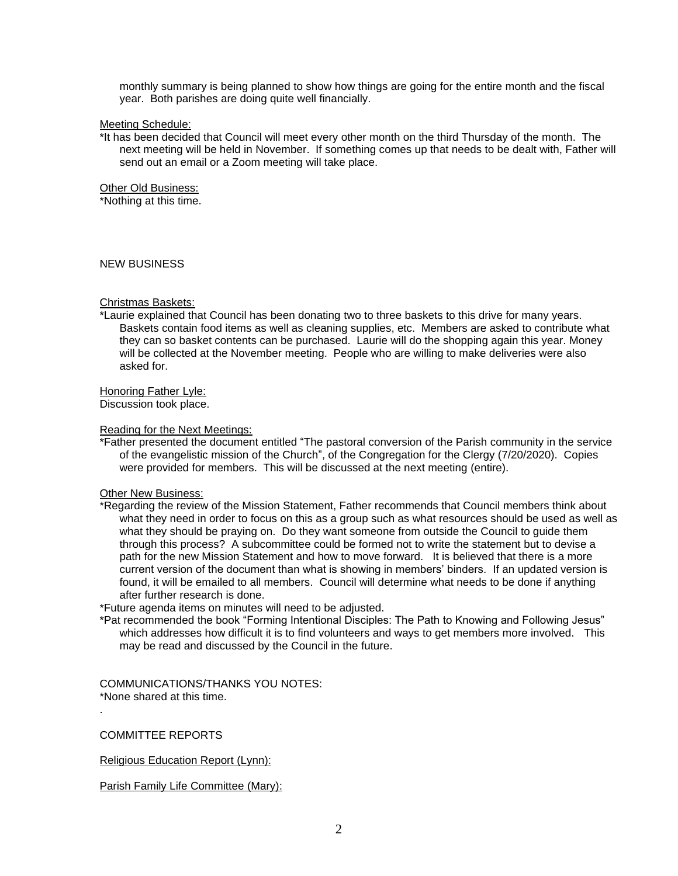monthly summary is being planned to show how things are going for the entire month and the fiscal year. Both parishes are doing quite well financially.

### Meeting Schedule:

\*It has been decided that Council will meet every other month on the third Thursday of the month. The next meeting will be held in November. If something comes up that needs to be dealt with, Father will send out an email or a Zoom meeting will take place.

Other Old Business:

\*Nothing at this time.

### NEW BUSINESS

### Christmas Baskets:

\*Laurie explained that Council has been donating two to three baskets to this drive for many years. Baskets contain food items as well as cleaning supplies, etc. Members are asked to contribute what they can so basket contents can be purchased. Laurie will do the shopping again this year. Money will be collected at the November meeting. People who are willing to make deliveries were also asked for.

Honoring Father Lyle:

Discussion took place.

### Reading for the Next Meetings:

\*Father presented the document entitled "The pastoral conversion of the Parish community in the service of the evangelistic mission of the Church", of the Congregation for the Clergy (7/20/2020). Copies were provided for members. This will be discussed at the next meeting (entire).

# Other New Business:

\*Regarding the review of the Mission Statement, Father recommends that Council members think about what they need in order to focus on this as a group such as what resources should be used as well as what they should be praying on. Do they want someone from outside the Council to guide them through this process? A subcommittee could be formed not to write the statement but to devise a path for the new Mission Statement and how to move forward. It is believed that there is a more current version of the document than what is showing in members' binders. If an updated version is found, it will be emailed to all members. Council will determine what needs to be done if anything after further research is done.

\*Future agenda items on minutes will need to be adjusted.

\*Pat recommended the book "Forming Intentional Disciples: The Path to Knowing and Following Jesus" which addresses how difficult it is to find volunteers and ways to get members more involved. This may be read and discussed by the Council in the future.

COMMUNICATIONS/THANKS YOU NOTES: \*None shared at this time.

COMMITTEE REPORTS

.

Religious Education Report (Lynn):

Parish Family Life Committee (Mary):